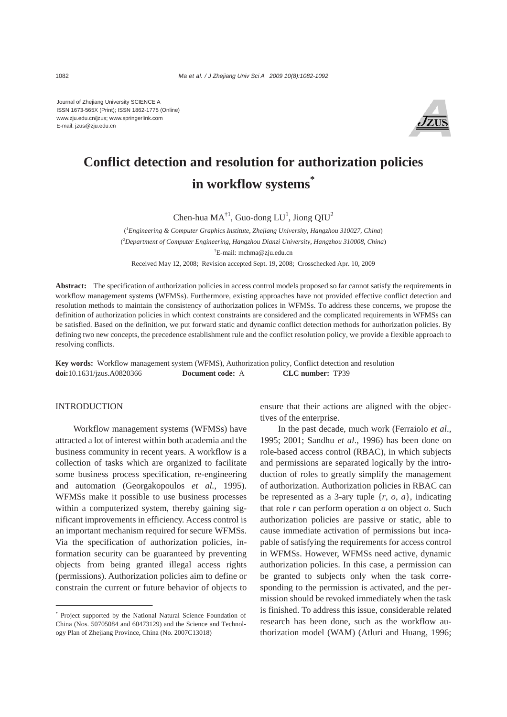Journal of Zhejiang University SCIENCE A ISSN 1673-565X (Print); ISSN 1862-1775 (Online) www.zju.edu.cn/jzus; www.springerlink.com E-mail: jzus@zju.edu.cn



# **Conflict detection and resolution for authorization policies in workflow systems\***

Chen-hua  $MA^{\dagger 1}$ , Guo-dong  $LU^1$ , Jiong  $QIU^2$ 

( *1 Engineering & Computer Graphics Institute, Zhejiang University, Hangzhou 310027, China*) ( *2 Department of Computer Engineering, Hangzhou Dianzi University, Hangzhou 310008, China*) † E-mail: mchma@zju.edu.cn Received May 12, 2008; Revision accepted Sept. 19, 2008; Crosschecked Apr. 10, 2009

**Abstract:** The specification of authorization policies in access control models proposed so far cannot satisfy the requirements in workflow management systems (WFMSs). Furthermore, existing approaches have not provided effective conflict detection and resolution methods to maintain the consistency of authorization polices in WFMSs. To address these concerns, we propose the definition of authorization policies in which context constraints are considered and the complicated requirements in WFMSs can be satisfied. Based on the definition, we put forward static and dynamic conflict detection methods for authorization policies. By defining two new concepts, the precedence establishment rule and the conflict resolution policy, we provide a flexible approach to resolving conflicts.

**Key words:** Workflow management system (WFMS), Authorization policy, Conflict detection and resolution **doi:**10.1631/jzus.A0820366 **Document code:** A **CLC number:** TP39

#### **INTRODUCTION**

Workflow management systems (WFMSs) have attracted a lot of interest within both academia and the business community in recent years. A workflow is a collection of tasks which are organized to facilitate some business process specification, re-engineering and automation (Georgakopoulos *et al.*, 1995). WFMSs make it possible to use business processes within a computerized system, thereby gaining significant improvements in efficiency. Access control is an important mechanism required for secure WFMSs. Via the specification of authorization policies, information security can be guaranteed by preventing objects from being granted illegal access rights (permissions). Authorization policies aim to define or constrain the current or future behavior of objects to

ensure that their actions are aligned with the objectives of the enterprise.

In the past decade, much work (Ferraiolo *et al*., 1995; 2001; Sandhu *et al*., 1996) has been done on role-based access control (RBAC), in which subjects and permissions are separated logically by the introduction of roles to greatly simplify the management of authorization. Authorization policies in RBAC can be represented as a 3-ary tuple  $\{r, o, a\}$ , indicating that role *r* can perform operation *a* on object *o*. Such authorization policies are passive or static, able to cause immediate activation of permissions but incapable of satisfying the requirements for access control in WFMSs. However, WFMSs need active, dynamic authorization policies. In this case, a permission can be granted to subjects only when the task corresponding to the permission is activated, and the permission should be revoked immediately when the task is finished. To address this issue, considerable related research has been done, such as the workflow authorization model (WAM) (Atluri and Huang, 1996;

<sup>\*</sup> Project supported by the National Natural Science Foundation of China (Nos. 50705084 and 60473129) and the Science and Technology Plan of Zhejiang Province, China (No. 2007C13018)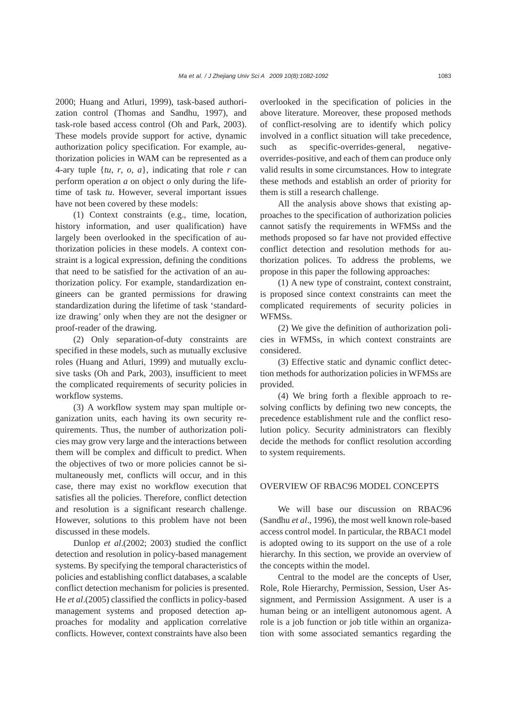2000; Huang and Atluri, 1999), task-based authorization control (Thomas and Sandhu, 1997), and task-role based access control (Oh and Park, 2003). These models provide support for active, dynamic authorization policy specification. For example, authorization policies in WAM can be represented as a 4-ary tuple {*tu*, *r*, *o*, *a*}, indicating that role *r* can perform operation *a* on object *o* only during the lifetime of task *tu*. However, several important issues have not been covered by these models:

(1) Context constraints (e.g., time, location, history information, and user qualification) have largely been overlooked in the specification of authorization policies in these models. A context constraint is a logical expression, defining the conditions that need to be satisfied for the activation of an authorization policy. For example, standardization engineers can be granted permissions for drawing standardization during the lifetime of task 'standardize drawing' only when they are not the designer or proof-reader of the drawing.

(2) Only separation-of-duty constraints are specified in these models, such as mutually exclusive roles (Huang and Atluri, 1999) and mutually exclusive tasks (Oh and Park, 2003), insufficient to meet the complicated requirements of security policies in workflow systems.

(3) A workflow system may span multiple organization units, each having its own security requirements. Thus, the number of authorization policies may grow very large and the interactions between them will be complex and difficult to predict. When the objectives of two or more policies cannot be simultaneously met, conflicts will occur, and in this case, there may exist no workflow execution that satisfies all the policies. Therefore, conflict detection and resolution is a significant research challenge. However, solutions to this problem have not been discussed in these models.

Dunlop *et al*.(2002; 2003) studied the conflict detection and resolution in policy-based management systems. By specifying the temporal characteristics of policies and establishing conflict databases, a scalable conflict detection mechanism for policies is presented. He *et al*.(2005) classified the conflicts in policy-based management systems and proposed detection approaches for modality and application correlative conflicts. However, context constraints have also been

overlooked in the specification of policies in the above literature. Moreover, these proposed methods of conflict-resolving are to identify which policy involved in a conflict situation will take precedence, such as specific-overrides-general, negativeoverrides-positive, and each of them can produce only valid results in some circumstances. How to integrate these methods and establish an order of priority for them is still a research challenge.

All the analysis above shows that existing approaches to the specification of authorization policies cannot satisfy the requirements in WFMSs and the methods proposed so far have not provided effective conflict detection and resolution methods for authorization polices. To address the problems, we propose in this paper the following approaches:

(1) A new type of constraint, context constraint, is proposed since context constraints can meet the complicated requirements of security policies in WFMSs.

(2) We give the definition of authorization policies in WFMSs, in which context constraints are considered.

(3) Effective static and dynamic conflict detection methods for authorization policies in WFMSs are provided.

(4) We bring forth a flexible approach to resolving conflicts by defining two new concepts, the precedence establishment rule and the conflict resolution policy. Security administrators can flexibly decide the methods for conflict resolution according to system requirements.

#### OVERVIEW OF RBAC96 MODEL CONCEPTS

We will base our discussion on RBAC96 (Sandhu *et al*., 1996), the most well known role-based access control model. In particular, the RBAC1 model is adopted owing to its support on the use of a role hierarchy. In this section, we provide an overview of the concepts within the model.

Central to the model are the concepts of User, Role, Role Hierarchy, Permission, Session, User Assignment, and Permission Assignment. A user is a human being or an intelligent autonomous agent. A role is a job function or job title within an organization with some associated semantics regarding the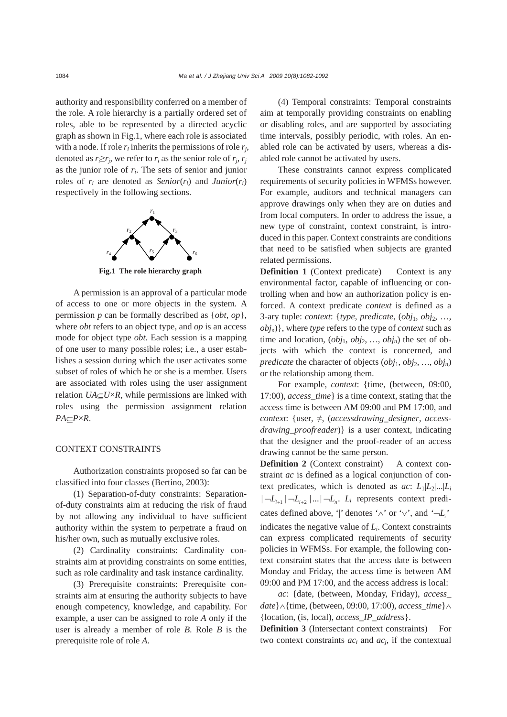authority and responsibility conferred on a member of the role. A role hierarchy is a partially ordered set of roles, able to be represented by a directed acyclic graph as shown in Fig.1, where each role is associated with a node. If role  $r_i$  inherits the permissions of role  $r_i$ , denoted as  $r_i \geq r_j$ , we refer to  $r_i$  as the senior role of  $r_j$ ,  $r_j$ as the junior role of *ri*. The sets of senior and junior roles of  $r_i$  are denoted as *Senior*( $r_i$ ) and *Junior*( $r_i$ ) respectively in the following sections.



**Fig.1 The role hierarchy graph**

A permission is an approval of a particular mode of access to one or more objects in the system. A permission *p* can be formally described as {*obt*, *op*}, where *obt* refers to an object type, and *op* is an access mode for object type *obt*. Each session is a mapping of one user to many possible roles; i.e., a user establishes a session during which the user activates some subset of roles of which he or she is a member. Users are associated with roles using the user assignment relation *UA*⊆*U*×*R*, while permissions are linked with roles using the permission assignment relation *PA*⊆*P*×*R*.

#### CONTEXT CONSTRAINTS

Authorization constraints proposed so far can be classified into four classes (Bertino, 2003):

(1) Separation-of-duty constraints: Separationof-duty constraints aim at reducing the risk of fraud by not allowing any individual to have sufficient authority within the system to perpetrate a fraud on his/her own, such as mutually exclusive roles.

(2) Cardinality constraints: Cardinality constraints aim at providing constraints on some entities, such as role cardinality and task instance cardinality.

(3) Prerequisite constraints: Prerequisite constraints aim at ensuring the authority subjects to have enough competency, knowledge, and capability. For example, a user can be assigned to role *A* only if the user is already a member of role *B*. Role *B* is the prerequisite role of role *A*.

(4) Temporal constraints: Temporal constraints aim at temporally providing constraints on enabling or disabling roles, and are supported by associating time intervals, possibly periodic, with roles. An enabled role can be activated by users, whereas a disabled role cannot be activated by users.

These constraints cannot express complicated requirements of security policies in WFMSs however. For example, auditors and technical managers can approve drawings only when they are on duties and from local computers. In order to address the issue, a new type of constraint, context constraint, is introduced in this paper. Context constraints are conditions that need to be satisfied when subjects are granted related permissions.

**Definition 1** (Context predicate) Context is any environmental factor, capable of influencing or controlling when and how an authorization policy is enforced. A context predicate *context* is defined as a 3-ary tuple: *context*: {*type*, *predicate*, (*obj*1, *obj*2, …, *objn*)}, where *type* refers to the type of *context* such as time and location,  $(obj_1, obj_2, ..., obj_n)$  the set of objects with which the context is concerned, and *predicate* the character of objects  $(obj_1, obj_2, ..., obj_n)$ or the relationship among them.

For example, *context*: {time, (between, 09:00, 17:00), *access\_time*} is a time context, stating that the access time is between AM 09:00 and PM 17:00, and *context*: {user, ≠, (*accessdrawing\_designer*, *accessdrawing\_proofreader*)} is a user context, indicating that the designer and the proof-reader of an access drawing cannot be the same person.

**Definition 2** (Context constraint) A context constraint *ac* is defined as a logical conjunction of context predicates, which is denoted as  $ac: L_1|L_2|...|L_i$  $|-\underline{L}_{i+1}|$   $-\underline{L}_{i+2}|$   $\dots$   $|-\underline{L}_{i}$ .  $\underline{L}_{i}$  represents context predicates defined above, '|' denotes ' $\land$ ' or ' $\lor$ ', and ' $\neg L$ ' indicates the negative value of *Li*. Context constraints can express complicated requirements of security policies in WFMSs. For example, the following context constraint states that the access date is between Monday and Friday, the access time is between AM 09:00 and PM 17:00, and the access address is local:

*ac*: {date, (between, Monday, Friday), *access\_ date*}∧{time, (between, 09:00, 17:00), *access\_time*}∧ {location, (is, local), *access\_IP\_address*}.

**Definition 3** (Intersectant context constraints) For two context constraints  $ac_i$  and  $ac_j$ , if the contextual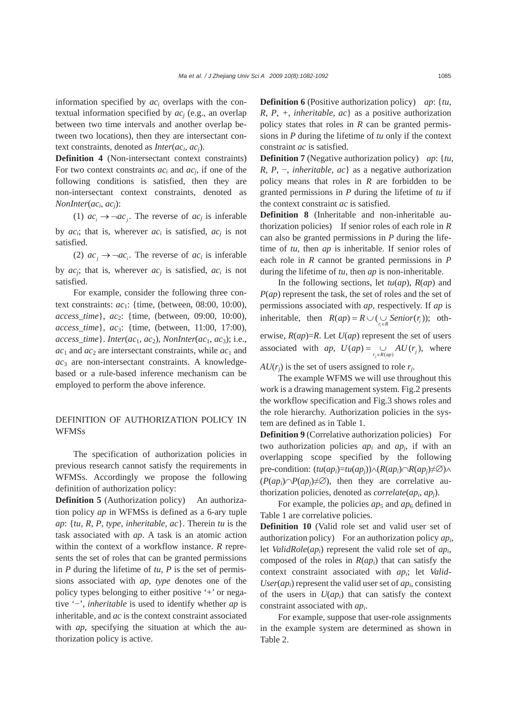information specified by *aci* overlaps with the contextual information specified by *acj* (e.g., an overlap between two time intervals and another overlap between two locations), then they are intersectant context constraints, denoted as *Inter*(*aci*, *acj*).

**Definition 4** (Non-intersectant context constraints) For two context constraints  $ac_i$  and  $ac_j$ , if one of the following conditions is satisfied, then they are non-intersectant context constraints, denoted as *NonInter*(*aci*, *acj*):

(1)  $ac_i \rightarrow \neg ac_j$ . The reverse of  $ac_j$  is inferable by  $ac_i$ ; that is, wherever  $ac_i$  is satisfied,  $ac_i$  is not satisfied.

(2)  $ac_i \rightarrow \neg ac_i$ . The reverse of  $ac_i$  is inferable by  $ac_i$ ; that is, wherever  $ac_i$  is satisfied,  $ac_i$  is not satisfied.

For example, consider the following three context constraints: *ac*<sub>1</sub>: {time, (between, 08:00, 10:00), *access\_time*}, *ac*2: {time, (between, 09:00, 10:00), *access\_time*}, *ac*3: {time, (between, 11:00, 17:00),  $access_time$ *}. Inter*( $ac_1, ac_2$ ), *NonInter*( $ac_1, ac_3$ ); i.e.,  $ac_1$  and  $ac_2$  are intersectant constraints, while  $ac_1$  and *ac*<sup>3</sup> are non-intersectant constraints. A knowledgebased or a rule-based inference mechanism can be employed to perform the above inference.

## DEFINITION OF AUTHORIZATION POLICY IN WFMSs

The specification of authorization policies in previous research cannot satisfy the requirements in WFMSs. Accordingly we propose the following definition of authorization policy:

**Definition 5** (Authorization policy) An authorization policy *ap* in WFMSs is defined as a 6-ary tuple *ap*: {*tu*, *R*, *P*, *type*, *inheritable*, *ac*}. Therein *tu* is the task associated with *ap*. A task is an atomic action within the context of a workflow instance. *R* represents the set of roles that can be granted permissions in *P* during the lifetime of *tu*, *P* is the set of permissions associated with *ap*, *type* denotes one of the policy types belonging to either positive '+' or negative '−', *inheritable* is used to identify whether *ap* is inheritable, and *ac* is the context constraint associated with *ap*, specifying the situation at which the authorization policy is active.

**Definition 6** (Positive authorization policy) *ap*: {*tu*, *R*, *P*, *+*, *inheritable*, *ac*} as a positive authorization policy states that roles in *R* can be granted permissions in *P* during the lifetime of *tu* only if the context constraint *ac* is satisfied.

**Definition 7** (Negative authorization policy) *ap*: {*tu*, *R*, *P*, −, *inheritable*, *ac*} as a negative authorization policy means that roles in *R* are forbidden to be granted permissions in *P* during the lifetime of *tu* if the context constraint *ac* is satisfied.

**Definition 8** (Inheritable and non-inheritable authorization policies) If senior roles of each role in *R* can also be granted permissions in *P* during the lifetime of *tu*, then *ap* is inheritable. If senior roles of each role in *R* cannot be granted permissions in *P* during the lifetime of *tu*, then *ap* is non-inheritable.

In the following sections, let *tu*(*ap*), *R*(*ap*) and *P*(*ap*) represent the task, the set of roles and the set of permissions associated with *ap*, respectively. If *ap* is inheritable, then  $R(ap) = R \cup (\bigcup_{r_i \in R} Senior(r_i));$  otherwise,  $R(ap)=R$ . Let  $U(ap)$  represent the set of users associated with *ap*,  $U(ap) = \bigcup_{r_j \in R(ap)} AU(r_j)$ , where

 $A U(r_i)$  is the set of users assigned to role  $r_i$ .

The example WFMS we will use throughout this work is a drawing management system. Fig.2 presents the workflow specification and Fig.3 shows roles and the role hierarchy. Authorization policies in the system are defined as in Table 1.

**Definition 9** (Correlative authorization policies) For two authorization policies *api* and *apj*, if with an overlapping scope specified by the following pre-condition:  $(tu(ap_i)=tu(ap_i)\wedge (R(ap_i)\cap R(ap_i)\neq \emptyset) \wedge$  $(P(ap_i) \cap P(ap_i) \neq \emptyset$ , then they are correlative authorization policies, denoted as *correlate*(*api*, *apj*).

For example, the policies  $ap_5$  and  $ap_6$  defined in Table 1 are correlative policies.

**Definition 10** (Valid role set and valid user set of authorization policy) For an authorization policy *api*, let *ValidRole*(*api*) represent the valid role set of *api*, composed of the roles in *R*(*api*) that can satisfy the context constraint associated with *api*; let *Valid-* $User(ap_i)$  represent the valid user set of  $ap_i$ , consisting of the users in  $U(ap_i)$  that can satisfy the context constraint associated with *api*.

For example, suppose that user-role assignments in the example system are determined as shown in Table 2.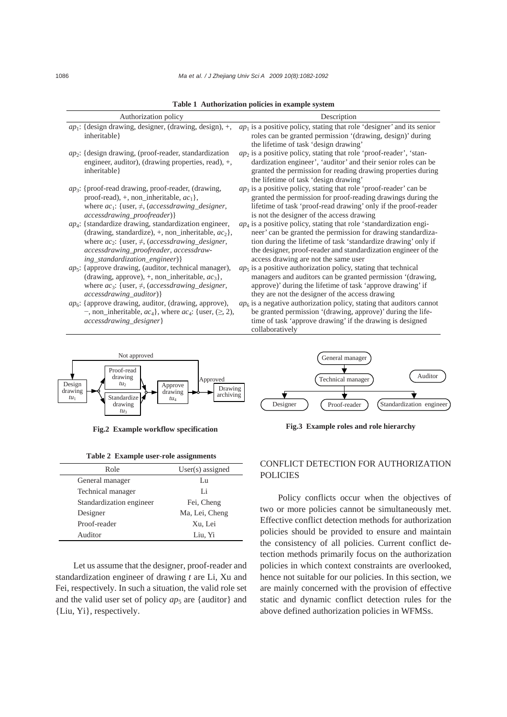| Authorization policy                                              | Description                                                              |
|-------------------------------------------------------------------|--------------------------------------------------------------------------|
| $ap_1$ : {design drawing, designer, (drawing, design), +,         | $ap_1$ is a positive policy, stating that role 'designer' and its senior |
| inheritable }                                                     | roles can be granted permission '(drawing, design)' during               |
|                                                                   | the lifetime of task 'design drawing'                                    |
| $ap_2$ : {design drawing, (proof-reader, standardization          | $ap_2$ is a positive policy, stating that role 'proof-reader', 'stan-    |
| engineer, auditor), (drawing properties, read), +,                | dardization engineer', 'auditor' and their senior roles can be           |
| inheritable }                                                     | granted the permission for reading drawing properties during             |
|                                                                   | the lifetime of task 'design drawing'                                    |
| $ap_3$ : {proof-read drawing, proof-reader, (drawing,             | $ap_3$ is a positive policy, stating that role 'proof-reader' can be     |
| proof-read), $+$ , non_inheritable, $ac_1$ ,                      | granted the permission for proof-reading drawings during the             |
| where $ac_1$ : {user, $\neq$ , (accessdrawing_designer,           | lifetime of task 'proof-read drawing' only if the proof-reader           |
| <i>accessdrawing_proofreader</i> ) }                              | is not the designer of the access drawing                                |
| $ap_4$ : {standardize drawing, standardization engineer,          | $ap_4$ is a positive policy, stating that role 'standardization engi-    |
| (drawing, standardize), +, non_inheritable, $ac_2$ ,              | neer' can be granted the permission for drawing standardiza-             |
| where $ac_2$ : {user, $\neq$ , (accessdrawing designer,           | tion during the lifetime of task 'standardize drawing' only if           |
| accessdrawing_proofreader, accessdraw-                            | the designer, proof-reader and standardization engineer of the           |
| ing_standardization_engineer) {                                   | access drawing are not the same user                                     |
| $ap_5$ : {approve drawing, (auditor, technical manager),          | $ap5$ is a positive authorization policy, stating that technical         |
| (drawing, approve), +, non_inheritable, $ac_3$ ,                  | managers and auditors can be granted permission '(drawing,               |
| where $ac_3$ : {user, $\neq$ , (accessdrawing_designer,           | approve)' during the lifetime of task 'approve drawing' if               |
| <i>accessdrawing auditor</i> ) }                                  | they are not the designer of the access drawing                          |
| $ap_6$ : {approve drawing, auditor, (drawing, approve),           | $ap6$ is a negative authorization policy, stating that auditors cannot   |
| -, non_inheritable, $ac_4$ , where $ac_4$ : {user, ( $\geq$ , 2), | be granted permission '(drawing, approve)' during the life-              |
| accessdrawing_designer}                                           | time of task 'approve drawing' if the drawing is designed                |
|                                                                   | collaboratively                                                          |

**Table 1 Authorization policies in example system**



| Table 2 Example user-role assignments |
|---------------------------------------|
|---------------------------------------|

| Role                     | $User(s)$ assigned |
|--------------------------|--------------------|
| General manager          | Lu                 |
| Technical manager        | Li                 |
| Standardization engineer | Fei, Cheng         |
| Designer                 | Ma, Lei, Cheng     |
| Proof-reader             | Xu, Lei            |
| Auditor                  | Liu, Yi            |

Let us assume that the designer, proof-reader and standardization engineer of drawing *t* are Li, Xu and Fei, respectively. In such a situation, the valid role set and the valid user set of policy  $ap_5$  are {auditor} and {Liu, Yi}, respectively.



**Fig.3 Example roles and role hierarchy Fig.2 Example workflow specification**

## CONFLICT DETECTION FOR AUTHORIZATION POLICIES

Policy conflicts occur when the objectives of two or more policies cannot be simultaneously met. Effective conflict detection methods for authorization policies should be provided to ensure and maintain the consistency of all policies. Current conflict detection methods primarily focus on the authorization policies in which context constraints are overlooked, hence not suitable for our policies. In this section, we are mainly concerned with the provision of effective static and dynamic conflict detection rules for the above defined authorization policies in WFMSs.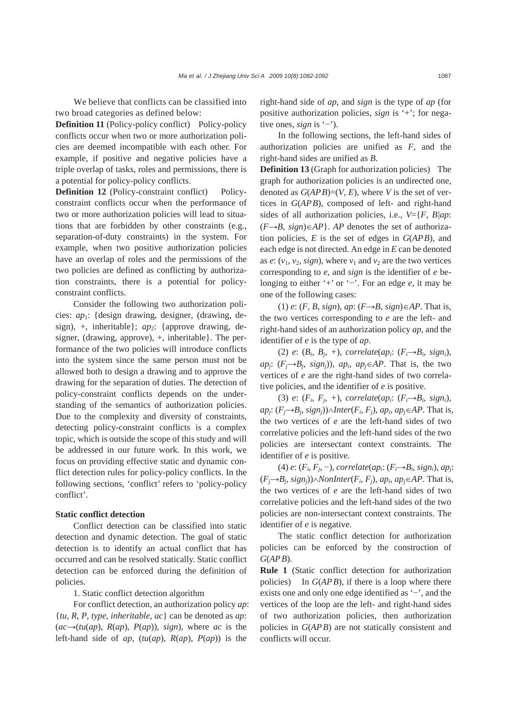We believe that conflicts can be classified into two broad categories as defined below:

**Definition 11** (Policy-policy conflict) Policy-policy conflicts occur when two or more authorization policies are deemed incompatible with each other. For example, if positive and negative policies have a triple overlap of tasks, roles and permissions, there is a potential for policy-policy conflicts.

**Definition 12** (Policy-constraint conflict) Policyconstraint conflicts occur when the performance of two or more authorization policies will lead to situations that are forbidden by other constraints (e.g., separation-of-duty constraints) in the system. For example, when two positive authorization policies have an overlap of roles and the permissions of the two policies are defined as conflicting by authorization constraints, there is a potential for policyconstraint conflicts.

Consider the following two authorization policies: *ap*1: {design drawing, designer, (drawing, design),  $+$ , inheritable ;  $ap_2$ : {approve drawing, designer, (drawing, approve), +, inheritable}. The performance of the two policies will introduce conflicts into the system since the same person must not be allowed both to design a drawing and to approve the drawing for the separation of duties. The detection of policy-constraint conflicts depends on the understanding of the semantics of authorization policies. Due to the complexity and diversity of constraints, detecting policy-constraint conflicts is a complex topic, which is outside the scope of this study and will be addressed in our future work. In this work, we focus on providing effective static and dynamic conflict detection rules for policy-policy conflicts. In the following sections, 'conflict' refers to 'policy-policy conflict'.

#### **Static conflict detection**

Conflict detection can be classified into static detection and dynamic detection. The goal of static detection is to identify an actual conflict that has occurred and can be resolved statically. Static conflict detection can be enforced during the definition of policies.

#### 1. Static conflict detection algorithm

For conflict detection, an authorization policy *ap*: {*tu*, *R*, *P*, *type*, *inheritable*, *ac*} can be denoted as *ap*:  $(ac\rightarrow(tu(ap), R(ap), P(ap)), sign), where ac is the$ left-hand side of *ap*, (*tu*(*ap*), *R*(*ap*), *P*(*ap*)) is the

right-hand side of *ap*, and *sign* is the type of *ap* (for positive authorization policies, *sign* is '+'; for negative ones, *sign* is '−').

In the following sections, the left-hand sides of authorization policies are unified as *F*, and the right-hand sides are unified as *B*.

**Definition 13** (Graph for authorization policies) The graph for authorization policies is an undirected one, denoted as  $G(APB)=(V, E)$ , where *V* is the set of vertices in *G*(*APB*), composed of left- and right-hand sides of all authorization policies, i.e., *V*={*F*, *B|ap*: (*F→B*, *sign*)∈*AP*}. *AP* denotes the set of authorization policies, *E* is the set of edges in *G*(*APB*), and each edge is not directed. An edge in *E* can be denoted as  $e: (v_1, v_2, sign)$ , where  $v_1$  and  $v_2$  are the two vertices corresponding to *e*, and *sign* is the identifier of *e* belonging to either '+' or '−'. For an edge *e*, it may be one of the following cases:

(1) *e*: (*F*, *B*, *sign*), *ap*: (*F*→*B*, *sign*)∈*AP*. That is, the two vertices corresponding to *e* are the left- and right-hand sides of an authorization policy *ap*, and the identifier of *e* is the type of *ap*.

(2)  $e: (B_i, B_j, +),$  correlate $(ap_i; (F_i \rightarrow B_i, sign_i),$ *ap<sub>j</sub>*:  $(F_j \rightarrow B_j, sign_j)$ , *ap<sub>i</sub>*, *ap<sub>j</sub>*∈*AP*. That is, the two vertices of *e* are the right-hand sides of two correlative policies, and the identifier of *e* is positive.

(3) *e*:  $(F_i, F_j, +)$ , *correlate*( $ap_i$ :  $(F_i \rightarrow B_i, sign_i)$ ,  $ap_i$ : ( $F_i \rightarrow B_i$ , *sign<sub>i</sub>*))∧*Inter*( $F_i$ ,  $F_j$ ),  $ap_i$ ,  $ap_j ∈ AP$ . That is, the two vertices of *e* are the left-hand sides of two correlative policies and the left-hand sides of the two policies are intersectant context constraints. The identifier of *e* is positive.

(4)  $e: (F_i, F_j, -)$ , *correlate*( $ap_i: (F_i \rightarrow B_i, sign_i)$ ,  $ap_i:$  $(F<sub>i</sub>→B<sub>i</sub>, sign<sub>i</sub>)\land NonInter(F<sub>i</sub>, F<sub>i</sub>), ap<sub>i</sub>, ap<sub>i</sub>∈AP. That is,$ the two vertices of *e* are the left-hand sides of two correlative policies and the left-hand sides of the two policies are non-intersectant context constraints. The identifier of *e* is negative.

The static conflict detection for authorization policies can be enforced by the construction of *G*(*APB*).

**Rule 1** (Static conflict detection for authorization policies) In *G*(*APB*), if there is a loop where there exists one and only one edge identified as '−', and the vertices of the loop are the left- and right-hand sides of two authorization policies, then authorization policies in *G*(*APB*) are not statically consistent and conflicts will occur.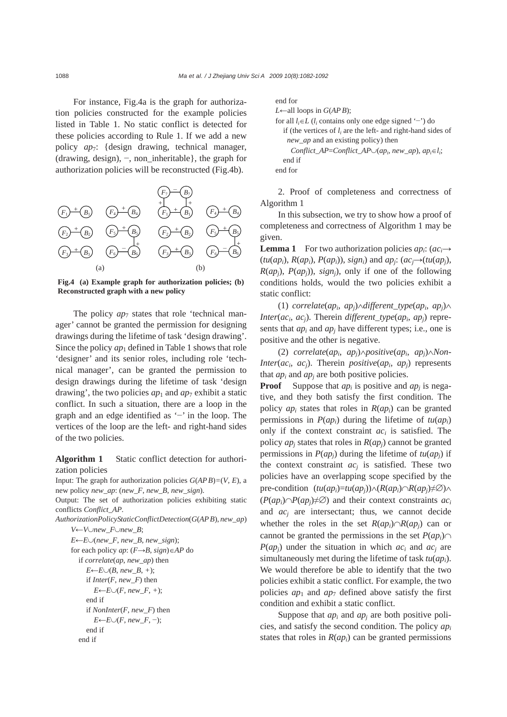For instance, Fig.4a is the graph for authorization policies constructed for the example policies listed in Table 1. No static conflict is detected for these policies according to Rule 1. If we add a new policy *ap*7: {design drawing, technical manager, (drawing, design), −, non\_inheritable}, the graph for authorization policies will be reconstructed (Fig.4b).



**Fig.4 (a) Example graph for authorization policies; (b) Reconstructed graph with a new policy**

The policy  $ap_7$  states that role 'technical manager' cannot be granted the permission for designing drawings during the lifetime of task 'design drawing'. Since the policy  $ap_1$  defined in Table 1 shows that role 'designer' and its senior roles, including role 'technical manager', can be granted the permission to design drawings during the lifetime of task 'design drawing', the two policies  $ap_1$  and  $ap_7$  exhibit a static conflict. In such a situation, there are a loop in the graph and an edge identified as '−' in the loop. The vertices of the loop are the left- and right-hand sides of the two policies.

**Algorithm 1** Static conflict detection for authorization policies

Input: The graph for authorization policies  $G(APB) = (V, E)$ , a new policy *new\_ap*: (*new\_F*, *new\_B*, *new\_sign*).

Output: The set of authorization policies exhibiting static conflicts *Conflict\_AP*.

*AuthorizationPolicyStaticConflictDetection*(*G*(*APB*), *new\_ap*)

```
V←V∪new_F∪new_B; 
E \leftarrow E \cup (new \ F, new \ B, new \ sign);for each policy ap: (F→B, sign)∈AP do 
  if correlate(ap, new_ap) then 
     E \leftarrow E \cup (B, new \ B, +);if Inter(F, new_F) then
        E \leftarrow E \cup (F, new_F, +);end if 
     if NonInter(F, new_F) then
        E←E∪(F, newF, −);
     end if 
  end if
```

```
end for 
L←all loops in G(APB); 
for all li∈L (li contains only one edge signed '−') do 
  if (the vertices of l_i are the left- and right-hand sides of
    new_ap and an existing policy) then 
     Conflict_AP=Conflict_AP\cup(ap<sub>i</sub>, new_ap), ap_i \in l_i;
  end if 
end for
```
2. Proof of completeness and correctness of Algorithm 1

In this subsection, we try to show how a proof of completeness and correctness of Algorithm 1 may be given.

**Lemma 1** For two authorization policies  $ap_i$ :  $(ac_i \rightarrow$  $(tu(ap_i), R(ap_i), P(ap_i), sign_i)$  and  $ap_i$ :  $(ac_i \rightarrow (tu(ap_i),$  $R(ap_i)$ ,  $P(ap_i)$ ),  $sign_i)$ , only if one of the following conditions holds, would the two policies exhibit a static conflict:

(1) *correlate*(*api*, *apj*)∧*different\_type*(*api*, *apj*)∧ *Inter*( $ac_i$ ,  $ac_j$ ). Therein *different* type( $ap_i$ ,  $ap_j$ ) represents that *api* and *apj* have different types; i.e., one is positive and the other is negative.

(2) *correlate*(*api*, *apj*)∧*positive*(*api*, *apj*)∧*Non-Inter*( $ac_i$ ,  $ac_i$ ). Therein *positive*( $ap_i$ ,  $ap_i$ ) represents that  $ap_i$  and  $ap_j$  are both positive policies.

**Proof** Suppose that  $ap_i$  is positive and  $ap_i$  is negative, and they both satisfy the first condition. The policy *api* states that roles in *R*(*api*) can be granted permissions in  $P(ap_i)$  during the lifetime of  $tu(ap_i)$ only if the context constraint *aci* is satisfied. The policy  $ap_i$  states that roles in  $R(ap_i)$  cannot be granted permissions in  $P(ap_i)$  during the lifetime of  $tu(ap_i)$  if the context constraint *acj* is satisfied. These two policies have an overlapping scope specified by the pre-condition  $(tu(ap_i)=tu(ap_i)\wedge (R(ap_i)\cap R(ap_i)\neq \emptyset) \wedge$  $(P(ap_i) \cap P(ap_i) \neq \emptyset$  and their context constraints  $ac_i$ and *acj* are intersectant; thus, we cannot decide whether the roles in the set  $R(ap_i) \cap R(ap_i)$  can or cannot be granted the permissions in the set  $P(ap_i)$ ∩ *P*(*apj*) under the situation in which *aci* and *acj* are simultaneously met during the lifetime of task *tu*(*api*). We would therefore be able to identify that the two policies exhibit a static conflict. For example, the two policies  $ap_1$  and  $ap_7$  defined above satisfy the first condition and exhibit a static conflict.

Suppose that  $ap_i$  and  $ap_j$  are both positive policies, and satisfy the second condition. The policy *api* states that roles in  $R(ap_i)$  can be granted permissions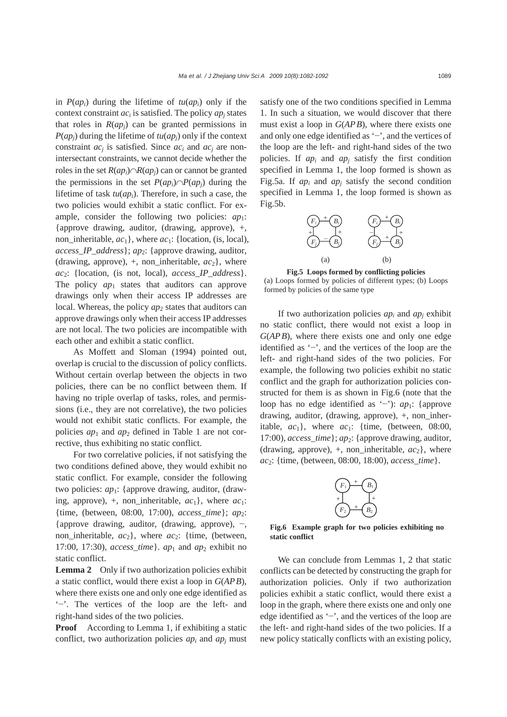in  $P(ap_i)$  during the lifetime of  $tu(ap_i)$  only if the context constraint  $ac_i$  is satisfied. The policy  $ap_i$  states that roles in  $R(ap_i)$  can be granted permissions in  $P(ap_i)$  during the lifetime of  $tu(ap_i)$  only if the context constraint *acj* is satisfied. Since *aci* and *acj* are nonintersectant constraints, we cannot decide whether the roles in the set  $R(ap_i)∩R(ap_i)$  can or cannot be granted the permissions in the set  $P(ap_i) \cap P(ap_i)$  during the lifetime of task *tu*(*api*). Therefore, in such a case, the two policies would exhibit a static conflict. For example, consider the following two policies:  $ap_1$ : {approve drawing, auditor, (drawing, approve), +, non inheritable,  $ac_1$ , where  $ac_1$ : {location, (is, local), *access\_IP\_address*}; *ap*2: {approve drawing, auditor, (drawing, approve),  $+$ , non\_inheritable,  $ac_2$ }, where *ac*2: {location, (is not, local), *access\_IP\_address*}. The policy  $ap_1$  states that auditors can approve drawings only when their access IP addresses are local. Whereas, the policy *ap*<sub>2</sub> states that auditors can approve drawings only when their access IP addresses are not local. The two policies are incompatible with each other and exhibit a static conflict.

As Moffett and Sloman (1994) pointed out, overlap is crucial to the discussion of policy conflicts. Without certain overlap between the objects in two policies, there can be no conflict between them. If having no triple overlap of tasks, roles, and permissions (i.e., they are not correlative), the two policies would not exhibit static conflicts. For example, the policies  $ap_1$  and  $ap_2$  defined in Table 1 are not corrective, thus exhibiting no static conflict.

For two correlative policies, if not satisfying the two conditions defined above, they would exhibit no static conflict. For example, consider the following two policies: *ap*1: {approve drawing, auditor, (drawing, approve),  $+$ , non\_inheritable,  $ac_1$ }, where  $ac_1$ : {time, (between, 08:00, 17:00), *access\_time*}; *ap*2: {approve drawing, auditor, (drawing, approve), −, non\_inheritable,  $ac_2$ }, where  $ac_2$ : {time, (between, 17:00, 17:30), *access time*}.  $ap_1$  and  $ap_2$  exhibit no static conflict.

**Lemma 2** Only if two authorization policies exhibit a static conflict, would there exist a loop in *G*(*APB*), where there exists one and only one edge identified as '−'. The vertices of the loop are the left- and right-hand sides of the two policies.

**Proof** According to Lemma 1, if exhibiting a static conflict, two authorization policies *api* and *apj* must

satisfy one of the two conditions specified in Lemma 1. In such a situation, we would discover that there must exist a loop in *G*(*APB*), where there exists one and only one edge identified as '−', and the vertices of the loop are the left- and right-hand sides of the two policies. If *api* and *apj* satisfy the first condition specified in Lemma 1, the loop formed is shown as Fig.5a. If  $ap_i$  and  $ap_j$  satisfy the second condition specified in Lemma 1, the loop formed is shown as Fig.5b.



**Fig.5 Loops formed by conflicting policies**  (a) Loops formed by policies of different types; (b) Loops formed by policies of the same type

If two authorization policies  $ap_i$  and  $ap_j$  exhibit no static conflict, there would not exist a loop in *G*(*APB*), where there exists one and only one edge identified as '−', and the vertices of the loop are the left- and right-hand sides of the two policies. For example, the following two policies exhibit no static conflict and the graph for authorization policies constructed for them is as shown in Fig.6 (note that the loop has no edge identified as '−'): *ap*1: {approve drawing, auditor, (drawing, approve), +, non\_inheritable,  $ac_1$ , where  $ac_1$ : {time, (between, 08:00, 17:00), *access\_time* }; *ap*<sub>2</sub>: {approve drawing, auditor, (drawing, approve),  $+$ , non\_inheritable,  $ac_2$ }, where *ac*2: {time, (between, 08:00, 18:00), *access\_time*}.



**Fig.6 Example graph for two policies exhibiting no static conflict**

We can conclude from Lemmas 1, 2 that static conflicts can be detected by constructing the graph for authorization policies. Only if two authorization policies exhibit a static conflict, would there exist a loop in the graph, where there exists one and only one edge identified as '−', and the vertices of the loop are the left- and right-hand sides of the two policies. If a new policy statically conflicts with an existing policy,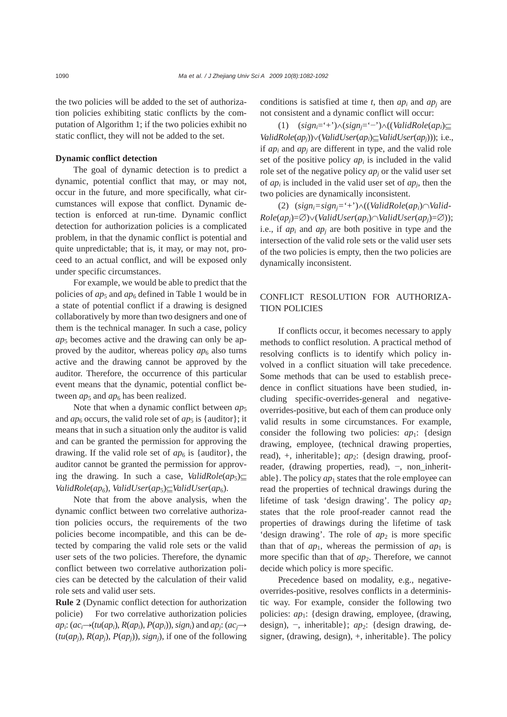the two policies will be added to the set of authorization policies exhibiting static conflicts by the computation of Algorithm 1; if the two policies exhibit no static conflict, they will not be added to the set.

## **Dynamic conflict detection**

The goal of dynamic detection is to predict a dynamic, potential conflict that may, or may not, occur in the future, and more specifically, what circumstances will expose that conflict. Dynamic detection is enforced at run-time. Dynamic conflict detection for authorization policies is a complicated problem, in that the dynamic conflict is potential and quite unpredictable; that is, it may, or may not, proceed to an actual conflict, and will be exposed only under specific circumstances.

For example, we would be able to predict that the policies of  $ap_5$  and  $ap_6$  defined in Table 1 would be in a state of potential conflict if a drawing is designed collaboratively by more than two designers and one of them is the technical manager. In such a case, policy *ap*5 becomes active and the drawing can only be approved by the auditor, whereas policy  $ap<sub>6</sub>$  also turns active and the drawing cannot be approved by the auditor. Therefore, the occurrence of this particular event means that the dynamic, potential conflict between  $ap_5$  and  $ap_6$  has been realized.

Note that when a dynamic conflict between  $ap_5$ and  $ap_6$  occurs, the valid role set of  $ap_5$  is {auditor}; it means that in such a situation only the auditor is valid and can be granted the permission for approving the drawing. If the valid role set of  $ap_6$  is {auditor}, the auditor cannot be granted the permission for approving the drawing. In such a case, *ValidRole*(*ap*5)⊆ *ValidRole*(*ap6*), *ValidUser*(*ap*5)⊆*ValidUser*(*ap*6).

Note that from the above analysis, when the dynamic conflict between two correlative authorization policies occurs, the requirements of the two policies become incompatible, and this can be detected by comparing the valid role sets or the valid user sets of the two policies. Therefore, the dynamic conflict between two correlative authorization policies can be detected by the calculation of their valid role sets and valid user sets.

**Rule 2** (Dynamic conflict detection for authorization policie) For two correlative authorization policies  $ap_i$ : ( $ac_i \rightarrow (tu(ap_i), R(ap_i), P(ap_i)$ ),  $sign_i$ ) and  $ap_i$ : ( $ac_i \rightarrow$  $(tu(ap_i), R(ap_i), P(ap_i), sign_i),$  if one of the following

conditions is satisfied at time  $t$ , then  $ap_i$  and  $ap_j$  are not consistent and a dynamic conflict will occur:

(1) (*signi*='+')∧(*signj*='−')∧((*ValidRole*(*api*)⊆ *ValidRole*(*apj*))∨(*ValidUser*(*api*)⊆*ValidUser*(*apj*))); i.e., if *api* and *apj* are different in type, and the valid role set of the positive policy  $ap_i$  is included in the valid role set of the negative policy  $ap_i$  or the valid user set of *api* is included in the valid user set of *apj*, then the two policies are dynamically inconsistent.

(2) (*signi=signj=*'+')∧((*ValidRole*(*api*)∩*Valid-Role*(*apj*)=∅)∨(*ValidUser*(*api*)∩*ValidUser*(*apj*)=∅)); i.e., if *api* and *apj* are both positive in type and the intersection of the valid role sets or the valid user sets of the two policies is empty, then the two policies are dynamically inconsistent.

# CONFLICT RESOLUTION FOR AUTHORIZA-TION POLICIES

If conflicts occur, it becomes necessary to apply methods to conflict resolution. A practical method of resolving conflicts is to identify which policy involved in a conflict situation will take precedence. Some methods that can be used to establish precedence in conflict situations have been studied, including specific-overrides-general and negativeoverrides-positive, but each of them can produce only valid results in some circumstances. For example, consider the following two policies:  $ap_1$ : {design drawing, employee, (technical drawing properties, read), +, inheritable : *ap*<sub>2</sub>: {design drawing, proofreader, (drawing properties, read), −, non\_inheritable  $\}$ . The policy  $ap_1$  states that the role employee can read the properties of technical drawings during the lifetime of task 'design drawing'. The policy  $ap_2$ states that the role proof-reader cannot read the properties of drawings during the lifetime of task 'design drawing'. The role of  $ap_2$  is more specific than that of  $ap_1$ , whereas the permission of  $ap_1$  is more specific than that of *ap*<sub>2</sub>. Therefore, we cannot decide which policy is more specific.

Precedence based on modality, e.g., negativeoverrides-positive, resolves conflicts in a deterministic way. For example, consider the following two policies: *ap*<sub>1</sub>: {design drawing, employee, (drawing, design), −, inheritable}; *ap*2: {design drawing, designer, (drawing, design), +, inheritable}. The policy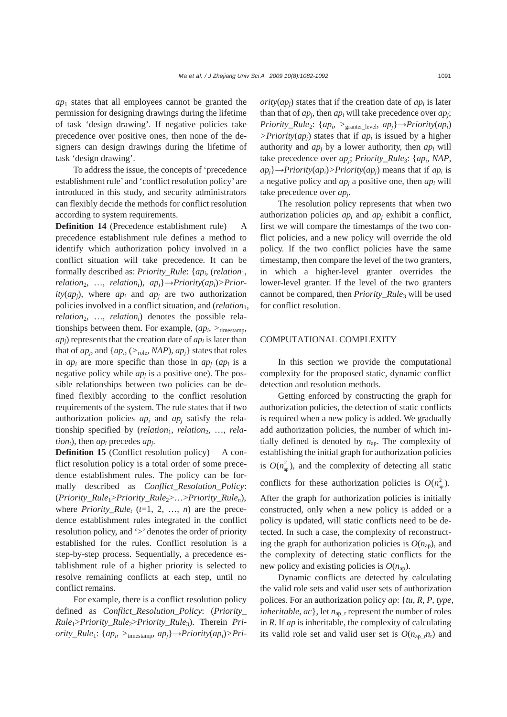*ap*1 states that all employees cannot be granted the permission for designing drawings during the lifetime of task 'design drawing'. If negative policies take precedence over positive ones, then none of the designers can design drawings during the lifetime of task 'design drawing'.

To address the issue, the concepts of 'precedence establishment rule' and 'conflict resolution policy' are introduced in this study, and security administrators can flexibly decide the methods for conflict resolution according to system requirements.

**Definition 14** (Precedence establishment rule) A precedence establishment rule defines a method to identify which authorization policy involved in a conflict situation will take precedence. It can be formally described as: *Priority\_Rule*: {*ap<sub>i</sub>*, (*relation*<sub>1</sub>,  $relation_2$ , ...,  $relation_t$ ),  $ap_i$ } $\rightarrow$ *Priority*( $ap_i$ )>*Prior* $itv(ap_i)$ , where *ap<sub>i</sub>* and *ap<sub>i</sub>* are two authorization policies involved in a conflict situation, and (*relation*1,  $relation_2$ , ..., *relation<sub>t</sub>*) denotes the possible relationships between them. For example, (*api*, *>*timestamp, *apj*) represents that the creation date of *api* is later than that of  $ap_i$ , and  $\{ap_i, (\geq_{role}, \textit{NAP}), ap_i\}$  states that roles in  $ap_i$  are more specific than those in  $ap_i$  ( $ap_i$  is a negative policy while  $ap<sub>i</sub>$  is a positive one). The possible relationships between two policies can be defined flexibly according to the conflict resolution requirements of the system. The rule states that if two authorization policies *api* and *apj* satisfy the relationship specified by (*relation*<sub>1</sub>, *relation*<sub>2</sub>, ..., *relation<sub>t</sub>*), then  $ap_i$  precedes  $ap_i$ .

**Definition 15** (Conflict resolution policy) A conflict resolution policy is a total order of some precedence establishment rules. The policy can be formally described as *Conflict\_Resolution\_Policy*: (*Priority\_Rule*1>*Priority\_Rule*2>…>*Priority\_Rulen*), where *Priority\_Rule<sub>t</sub>* ( $t=1, 2, ..., n$ ) are the precedence establishment rules integrated in the conflict resolution policy, and '>' denotes the order of priority established for the rules. Conflict resolution is a step-by-step process. Sequentially, a precedence establishment rule of a higher priority is selected to resolve remaining conflicts at each step, until no conflict remains.

For example, there is a conflict resolution policy defined as *Conflict\_Resolution\_Policy*: (*Priority\_ Rule*1>*Priority\_Rule*2>*Priority\_Rule*3). Therein *Priority\_Rule*1: {*api*, *>*timestamp, *apj*}→*Priority*(*api*)*>Pri-*  $ority(ap_i)$  states that if the creation date of  $ap_i$  is later than that of  $ap_i$ , then  $ap_i$  will take precedence over  $ap_i$ ; *Priority\_Rule*2: {*api*, *>*granter\_level, *apj*}*→Priority*(*api*) *>Priority*(*apj*) states that if *api* is issued by a higher authority and  $ap_i$  by a lower authority, then  $ap_i$  will take precedence over *apj*; *Priority\_Rule*3: {*api*, *NAP*,  $ap_i$ } $\rightarrow$ *Priority*(*ap<sub>i</sub>*) $>$ *Priority*(*ap<sub>i</sub>*) means that if *ap<sub>i</sub>* is a negative policy and *apj* a positive one, then *api* will take precedence over *apj*.

The resolution policy represents that when two authorization policies *api* and *apj* exhibit a conflict, first we will compare the timestamps of the two conflict policies, and a new policy will override the old policy. If the two conflict policies have the same timestamp, then compare the level of the two granters, in which a higher-level granter overrides the lower-level granter. If the level of the two granters cannot be compared, then *Priority\_Rule*<sup>3</sup> will be used for conflict resolution.

#### COMPUTATIONAL COMPLEXITY

In this section we provide the computational complexity for the proposed static, dynamic conflict detection and resolution methods.

Getting enforced by constructing the graph for authorization policies, the detection of static conflicts is required when a new policy is added. We gradually add authorization policies, the number of which initially defined is denoted by  $n_{ap}$ . The complexity of establishing the initial graph for authorization policies is  $O(n_{\rm ap}^2)$ , and the complexity of detecting all static

conflicts for these authorization policies is  $O(n_{ap}^2)$ .

After the graph for authorization policies is initially constructed, only when a new policy is added or a policy is updated, will static conflicts need to be detected. In such a case, the complexity of reconstructing the graph for authorization policies is  $O(n_{\text{an}})$ , and the complexity of detecting static conflicts for the new policy and existing policies is  $O(n_{\text{an}})$ .

Dynamic conflicts are detected by calculating the valid role sets and valid user sets of authorization polices. For an authorization policy *ap*: {*tu*, *R*, *P*, *type*, *inheritable*,  $ac$ , let  $n_{\text{an }r}$  represent the number of roles in *R*. If *ap* is inheritable, the complexity of calculating its valid role set and valid user set is  $O(n_{\text{ap}}_r n_r)$  and